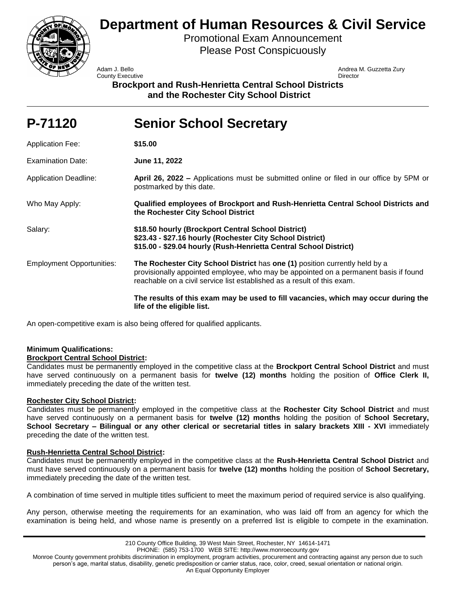

# **Department of Human Resources & Civil Service**

Promotional Exam Announcement Please Post Conspicuously

**County Executive Director** County **Director** 

Adam J. Bello Andrea M. Guzzetta Zury

**Brockport and Rush-Henrietta Central School Districts and the Rochester City School District**

| P-71120                          | <b>Senior School Secretary</b>                                                                                                                                                                                                                 |
|----------------------------------|------------------------------------------------------------------------------------------------------------------------------------------------------------------------------------------------------------------------------------------------|
| <b>Application Fee:</b>          | \$15.00                                                                                                                                                                                                                                        |
| <b>Examination Date:</b>         | June 11, 2022                                                                                                                                                                                                                                  |
| <b>Application Deadline:</b>     | April 26, 2022 – Applications must be submitted online or filed in our office by 5PM or<br>postmarked by this date.                                                                                                                            |
| Who May Apply:                   | Qualified employees of Brockport and Rush-Henrietta Central School Districts and<br>the Rochester City School District                                                                                                                         |
| Salary:                          | \$18.50 hourly (Brockport Central School District)<br>\$23.43 - \$27.16 hourly (Rochester City School District)<br>\$15.00 - \$29.04 hourly (Rush-Henrietta Central School District)                                                           |
| <b>Employment Opportunities:</b> | The Rochester City School District has one (1) position currently held by a<br>provisionally appointed employee, who may be appointed on a permanent basis if found<br>reachable on a civil service list established as a result of this exam. |
|                                  | The results of this exam may be used to fill vacancies, which may occur during the<br>life of the eligible list.                                                                                                                               |

An open-competitive exam is also being offered for qualified applicants.

# **Minimum Qualifications:**

# **Brockport Central School District:**

Candidates must be permanently employed in the competitive class at the **Brockport Central School District** and must have served continuously on a permanent basis for **twelve (12) months** holding the position of **Office Clerk II,**  immediately preceding the date of the written test.

# **Rochester City School District:**

Candidates must be permanently employed in the competitive class at the **Rochester City School District** and must have served continuously on a permanent basis for **twelve (12) months** holding the position of **School Secretary, School Secretary – Bilingual or any other clerical or secretarial titles in salary brackets XIII - XVI** immediately preceding the date of the written test.

# **Rush-Henrietta Central School District:**

Candidates must be permanently employed in the competitive class at the **Rush-Henrietta Central School District** and must have served continuously on a permanent basis for **twelve (12) months** holding the position of **School Secretary,**  immediately preceding the date of the written test.

A combination of time served in multiple titles sufficient to meet the maximum period of required service is also qualifying.

Any person, otherwise meeting the requirements for an examination, who was laid off from an agency for which the examination is being held, and whose name is presently on a preferred list is eligible to compete in the examination.

Monroe County government prohibits discrimination in employment, program activities, procurement and contracting against any person due to such person's age, marital status, disability, genetic predisposition or carrier status, race, color, creed, sexual orientation or national origin. An Equal Opportunity Employer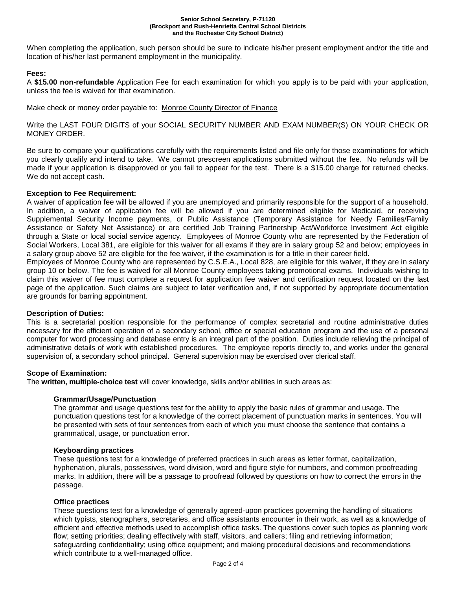#### **Senior School Secretary, P-71120 (Brockport and Rush-Henrietta Central School Districts and the Rochester City School District)**

When completing the application, such person should be sure to indicate his/her present employment and/or the title and location of his/her last permanent employment in the municipality.

## **Fees:**

A **\$15.00 non-refundable** Application Fee for each examination for which you apply is to be paid with your application, unless the fee is waived for that examination.

Make check or money order payable to: Monroe County Director of Finance

Write the LAST FOUR DIGITS of your SOCIAL SECURITY NUMBER AND EXAM NUMBER(S) ON YOUR CHECK OR MONEY ORDER.

Be sure to compare your qualifications carefully with the requirements listed and file only for those examinations for which you clearly qualify and intend to take. We cannot prescreen applications submitted without the fee. No refunds will be made if your application is disapproved or you fail to appear for the test. There is a \$15.00 charge for returned checks. We do not accept cash.

## **Exception to Fee Requirement:**

A waiver of application fee will be allowed if you are unemployed and primarily responsible for the support of a household. In addition, a waiver of application fee will be allowed if you are determined eligible for Medicaid, or receiving Supplemental Security Income payments, or Public Assistance (Temporary Assistance for Needy Families/Family Assistance or Safety Net Assistance) or are certified Job Training Partnership Act/Workforce Investment Act eligible through a State or local social service agency. Employees of Monroe County who are represented by the Federation of Social Workers, Local 381, are eligible for this waiver for all exams if they are in salary group 52 and below; employees in a salary group above 52 are eligible for the fee waiver, if the examination is for a title in their career field.

Employees of Monroe County who are represented by C.S.E.A., Local 828, are eligible for this waiver, if they are in salary group 10 or below. The fee is waived for all Monroe County employees taking promotional exams. Individuals wishing to claim this waiver of fee must complete a request for application fee waiver and certification request located on the last page of the application. Such claims are subject to later verification and, if not supported by appropriate documentation are grounds for barring appointment.

## **Description of Duties:**

This is a secretarial position responsible for the performance of complex secretarial and routine administrative duties necessary for the efficient operation of a secondary school, office or special education program and the use of a personal computer for word processing and database entry is an integral part of the position. Duties include relieving the principal of administrative details of work with established procedures. The employee reports directly to, and works under the general supervision of, a secondary school principal. General supervision may be exercised over clerical staff.

## **Scope of Examination:**

The **written, multiple-choice test** will cover knowledge, skills and/or abilities in such areas as:

## **Grammar/Usage/Punctuation**

The grammar and usage questions test for the ability to apply the basic rules of grammar and usage. The punctuation questions test for a knowledge of the correct placement of punctuation marks in sentences. You will be presented with sets of four sentences from each of which you must choose the sentence that contains a grammatical, usage, or punctuation error.

## **Keyboarding practices**

These questions test for a knowledge of preferred practices in such areas as letter format, capitalization, hyphenation, plurals, possessives, word division, word and figure style for numbers, and common proofreading marks. In addition, there will be a passage to proofread followed by questions on how to correct the errors in the passage.

## **Office practices**

These questions test for a knowledge of generally agreed-upon practices governing the handling of situations which typists, stenographers, secretaries, and office assistants encounter in their work, as well as a knowledge of efficient and effective methods used to accomplish office tasks. The questions cover such topics as planning work flow; setting priorities; dealing effectively with staff, visitors, and callers; filing and retrieving information; safeguarding confidentiality; using office equipment; and making procedural decisions and recommendations which contribute to a well-managed office.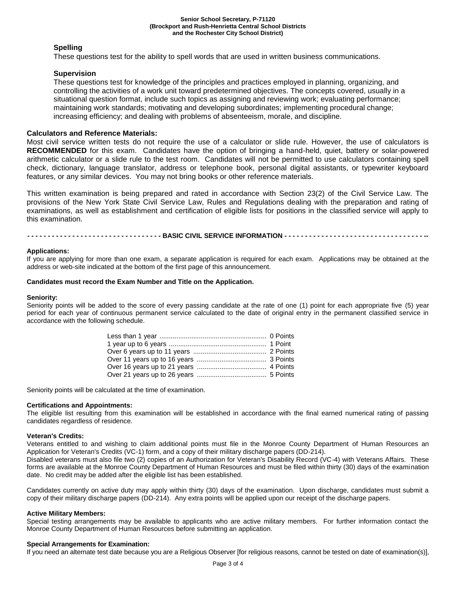#### **Senior School Secretary, P-71120 (Brockport and Rush-Henrietta Central School Districts and the Rochester City School District)**

## **Spelling**

These questions test for the ability to spell words that are used in written business communications.

## **Supervision**

These questions test for knowledge of the principles and practices employed in planning, organizing, and controlling the activities of a work unit toward predetermined objectives. The concepts covered, usually in a situational question format, include such topics as assigning and reviewing work; evaluating performance; maintaining work standards; motivating and developing subordinates; implementing procedural change; increasing efficiency; and dealing with problems of absenteeism, morale, and discipline.

## **Calculators and Reference Materials:**

Most civil service written tests do not require the use of a calculator or slide rule. However, the use of calculators is **RECOMMENDED** for this exam. Candidates have the option of bringing a hand-held, quiet, battery or solar-powered arithmetic calculator or a slide rule to the test room. Candidates will not be permitted to use calculators containing spell check, dictionary, language translator, address or telephone book, personal digital assistants, or typewriter keyboard features, or any similar devices. You may not bring books or other reference materials.

This written examination is being prepared and rated in accordance with Section 23(2) of the Civil Service Law. The provisions of the New York State Civil Service Law, Rules and Regulations dealing with the preparation and rating of examinations, as well as establishment and certification of eligible lists for positions in the classified service will apply to this examination.

**- - - - - - - - - - - - - - - - - - - - - - - - - - - - - - - - - BASIC CIVIL SERVICE INFORMATION - - - - - - - - - - - - - - - - - - - - - - - - - - - - - - - - - - --**

## **Applications:**

If you are applying for more than one exam, a separate application is required for each exam. Applications may be obtained at the address or web-site indicated at the bottom of the first page of this announcement.

#### **Candidates must record the Exam Number and Title on the Application.**

### **Seniority:**

Seniority points will be added to the score of every passing candidate at the rate of one (1) point for each appropriate five (5) year period for each year of continuous permanent service calculated to the date of original entry in the permanent classified service in accordance with the following schedule.

Seniority points will be calculated at the time of examination.

#### **Certifications and Appointments:**

The eligible list resulting from this examination will be established in accordance with the final earned numerical rating of passing candidates regardless of residence.

#### **Veteran's Credits:**

Veterans entitled to and wishing to claim additional points must file in the Monroe County Department of Human Resources an Application for Veteran's Credits (VC-1) form, and a copy of their military discharge papers (DD-214).

Disabled veterans must also file two (2) copies of an Authorization for Veteran's Disability Record (VC-4) with Veterans Affairs. These forms are available at the Monroe County Department of Human Resources and must be filed within thirty (30) days of the examination date. No credit may be added after the eligible list has been established.

Candidates currently on active duty may apply within thirty (30) days of the examination. Upon discharge, candidates must submit a copy of their military discharge papers (DD-214). Any extra points will be applied upon our receipt of the discharge papers.

#### **Active Military Members:**

Special testing arrangements may be available to applicants who are active military members. For further information contact the Monroe County Department of Human Resources before submitting an application.

#### **Special Arrangements for Examination:**

If you need an alternate test date because you are a Religious Observer [for religious reasons, cannot be tested on date of examination(s)],